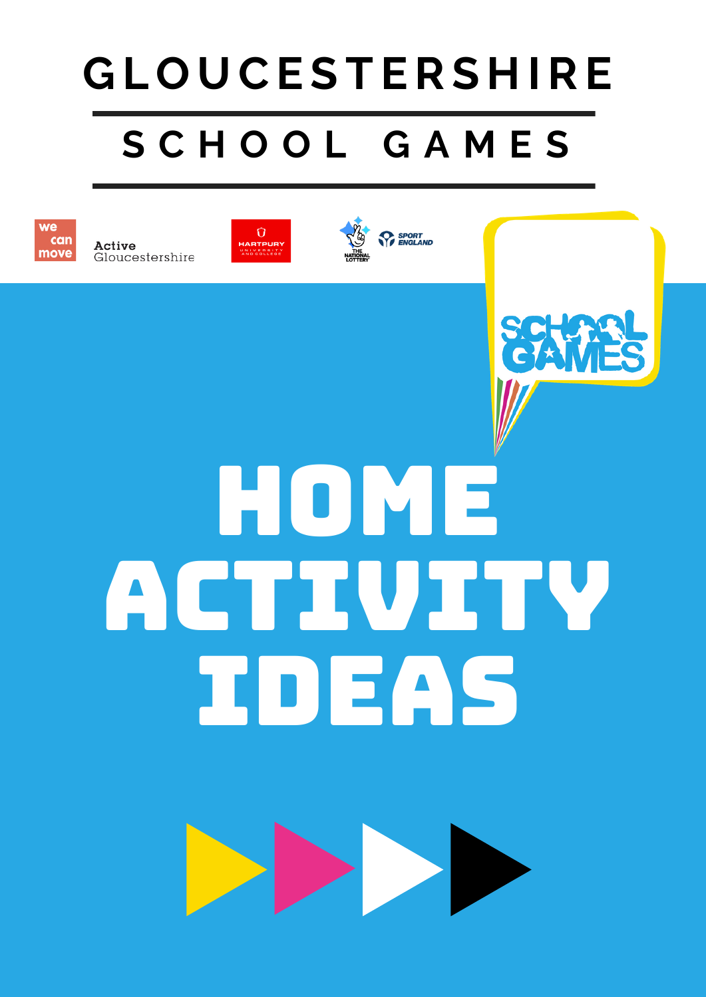# **S C H O O L G A M E S G L O U CE S T ERS H IRE**



Active Gloucestershire





CZXM



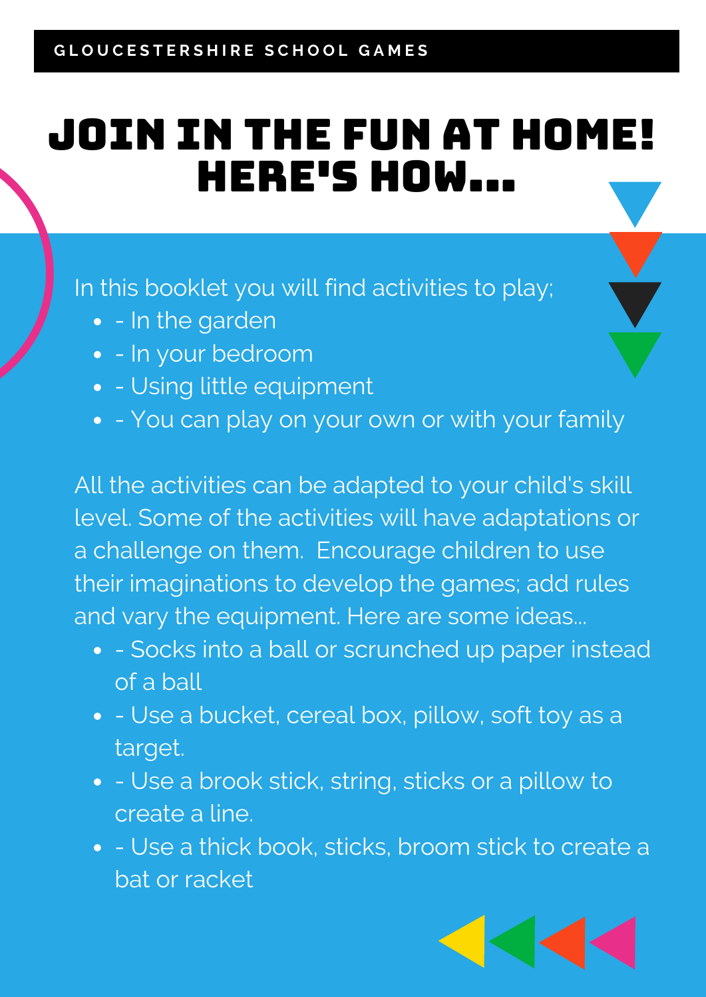#### join in the fun at home! here's how...

In this booklet you will find activities to play;

- - In the garden
- - In your bedroom
- - Using little equipment
- - You can play on your own or with your family

All the activities can be adapted to your child's skill level. Some of the activities will have adaptations or a challenge on them. Encourage children to use their imaginations to develop the games; add rules and vary the equipment. Here are some ideas...

- - Socks into a ball or scrunched up paper instead of a ball
- - Use a bucket, cereal box, pillow, soft toy as a target.
- - Use a brook stick, string, sticks or a pillow to create a line.
- Use a thick book, sticks, broom stick to create a bat or racket

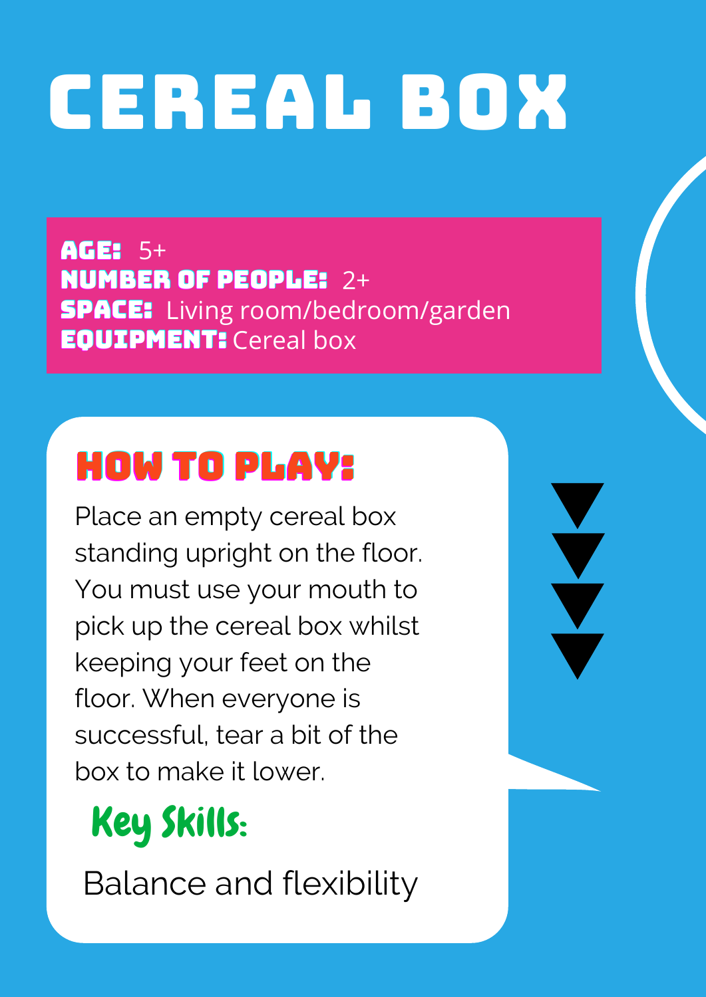# CEREAL BOX

AGE: 5+ NUMBER OF PEOPLE: 2+ **SPACE:** Living room/bedroom/garden **EQUIPMENT:** Cereal box

# HOW TO PLAY:

Place an empty cereal box standing upright on the floor. You must use your mouth to pick up the cereal box whilst keeping your feet on the floor. When everyone is successful, tear a bit of the box to make it lower.

V

# Key Skills:

Balance and flexibility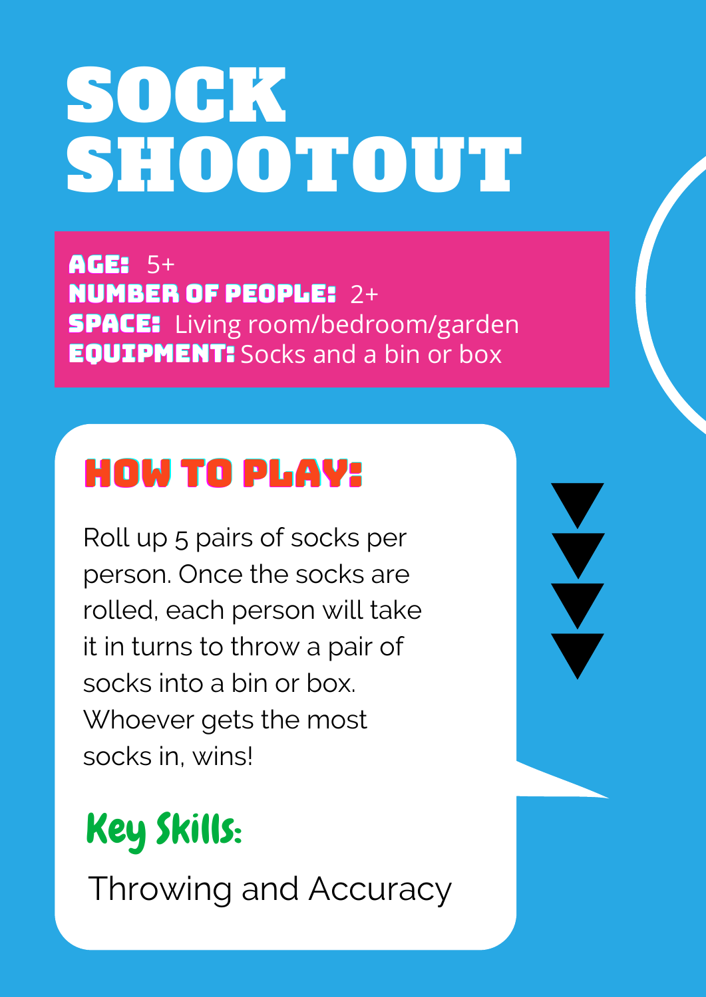# SOCK SHOOTOUT

AGE: 5+ NUMBER OF PEOPLE: 2+ **SPACE:** Living room/bedroom/garden **EQUIPMENT:** Socks and a bin or box

V

#### HOW TO PLAY:

Roll up 5 pairs of socks per person. Once the socks are rolled, each person will take it in turns to throw a pair of socks into a bin or box. Whoever gets the most socks in, wins!

# Key Skills:

Throwing and Accuracy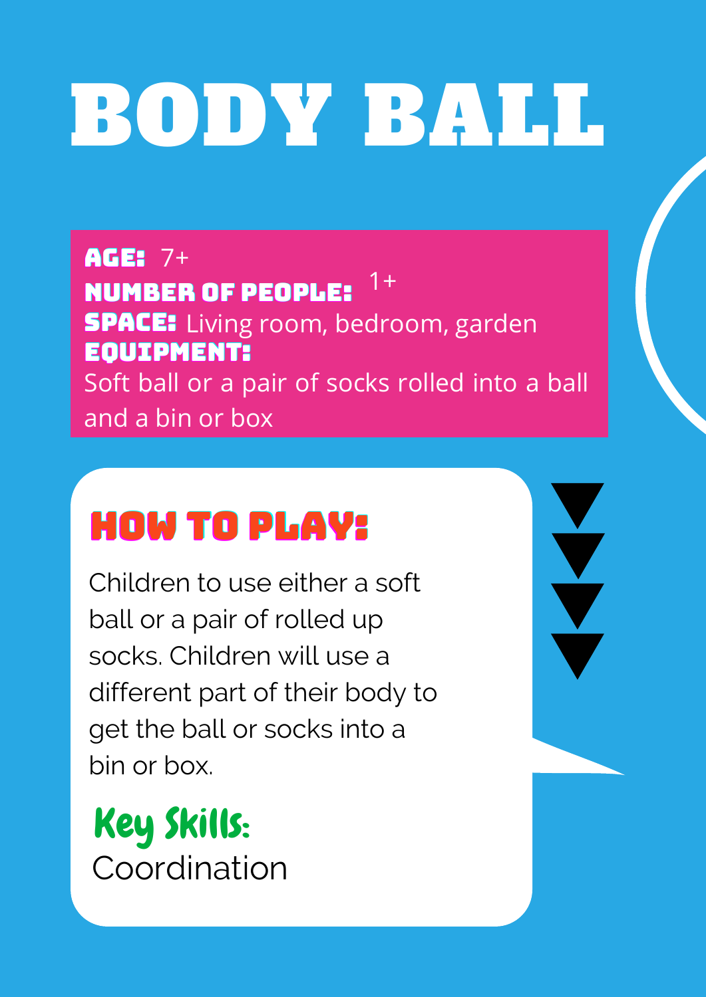# BODY BALL

AGE: 7+ NUMBER OF PEOPLE: **SPACE:** Living room, bedroom, garden EQUIPMENT: 1+ Soft ball or a pair of socks rolled into a ball and a bin or box

#### HOW TO PLAY:

Children to use either a soft ball or a pair of rolled up socks. Children will use a different part of their body to get the ball or socks into a bin or box.

Key Skills: Coordination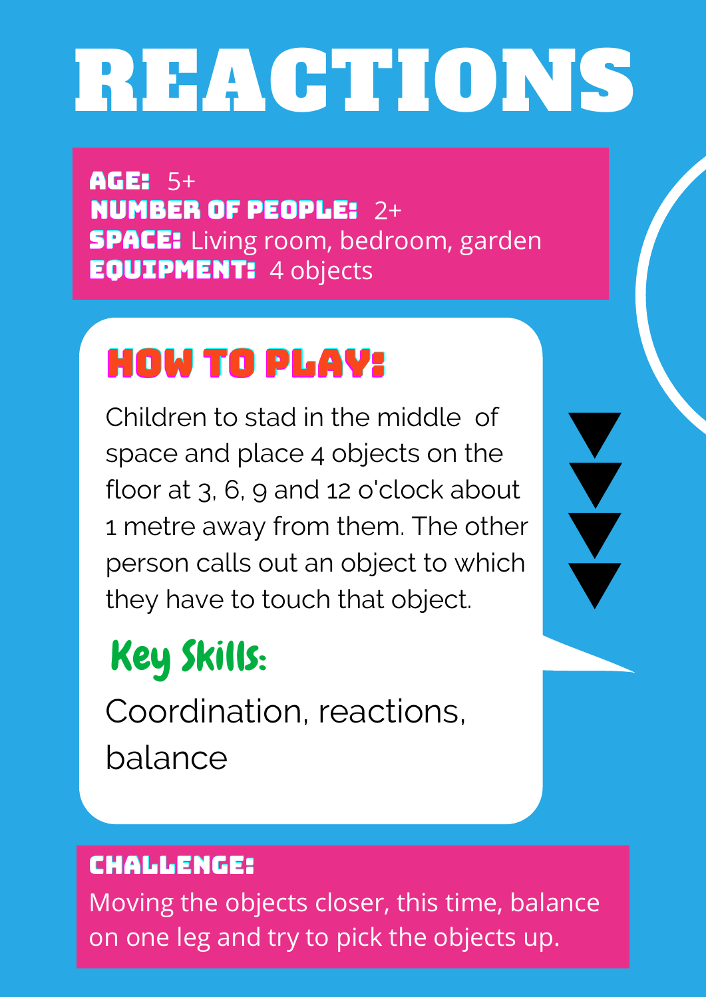# REACTIONS

AGE: 5+ NUMBER OF PEOPLE: 2+ **SPACE:** Living room, bedroom, garden EQUIPMENT: 4 objects

#### HOW TO PLAY:

Children to stad in the middle of space and place 4 objects on the floor at 3, 6, 9 and 12 o'clock about 1 metre away from them. The other person calls out an object to which they have to touch that object.

# Key Skills:

Coordination, reactions, balance

#### CHALLENGE:

Moving the objects closer, this time, balance on one leg and try to pick the objects up.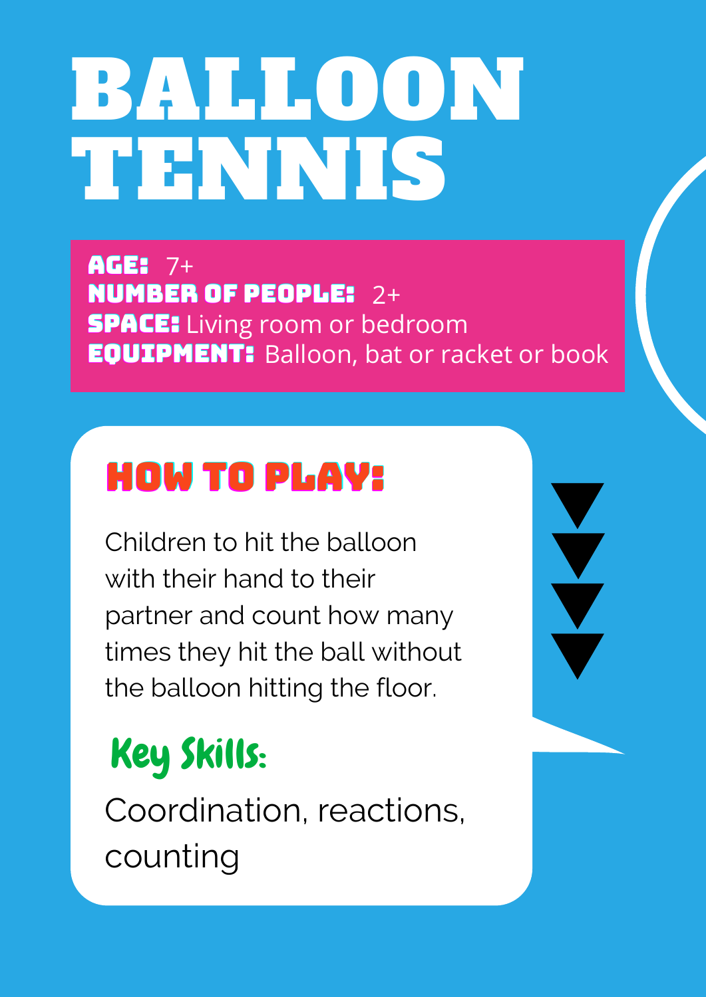# BALLOON TENNIS

AGE: 7+ NUMBER OF PEOPLE: 2+ **SPACE:** Living room or bedroom **EQUIPMENT:** Balloon, bat or racket or book

### HOW TO PLAY:

Children to hit the balloon with their hand to their partner and count how many times they hit the ball without the balloon hitting the floor.

# Key Skills:

Coordination, reactions, counting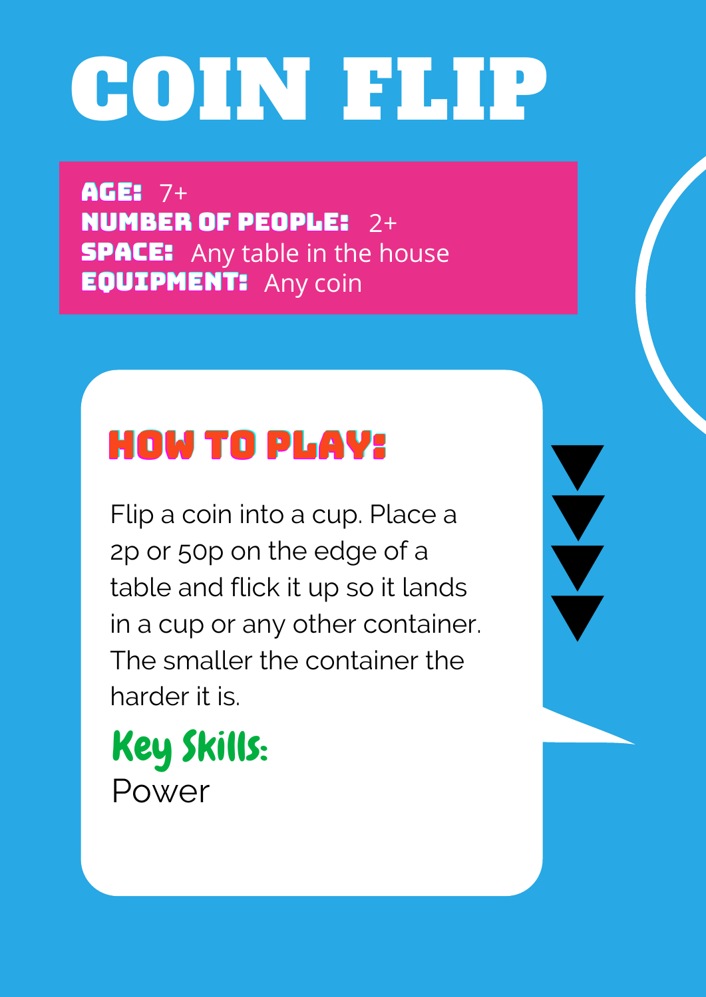# COIN FLIP

AGE: 7+ NUMBER OF PEOPLE: 2+ **SPACE:** Any table in the house **EQUIPMENT:** Any coin

#### HOW TO PLAY:

Flip a coin into a cup. Place a 2p or 50p on the edge of a table and flick it up so it lands in a cup or any other container. The smaller the container the harder it is.

Key Skills: Power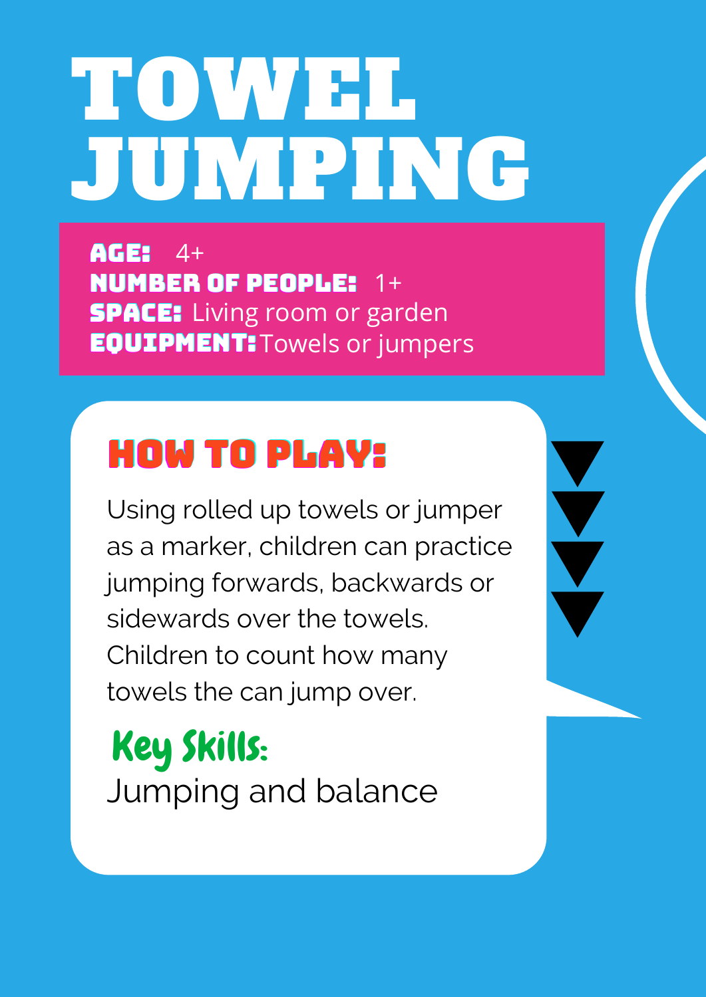# TOWEL. JUMPING

AGE: 4+ NUMBER OF PEOPLE: 1+ **SPACE:** Living room or garden **EQUIPMENT: Towels or jumpers** 

#### HOW TO PLAY:

Using rolled up towels or jumper as a marker, children can practice jumping forwards, backwards or sidewards over the towels. Children to count how many towels the can jump over.

Key Skills: Jumping and balance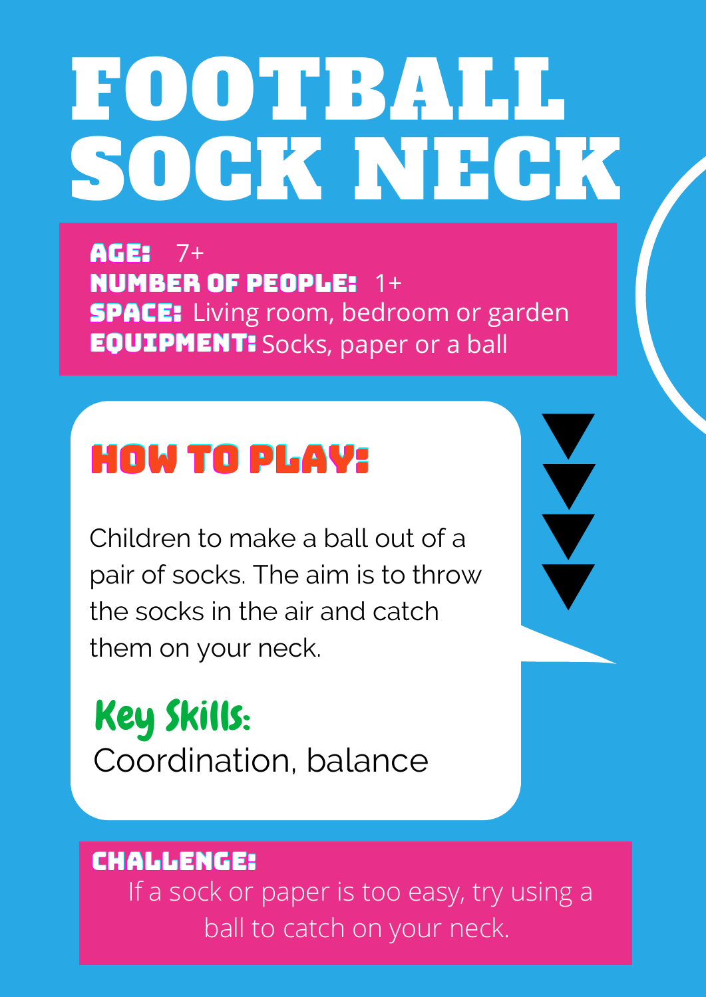# FOOTBALL SOCK NEGK

AGE: NUMBER OF PEOPLE: 1+ **SPACE:** Living room, bedroom or garden **EQUIPMENT:** Socks, paper or a ball  $7+$ 

#### HOW TO PLAY:

Children to make a ball out of a pair of socks. The aim is to throw the socks in the air and catch them on your neck.

Key Skills: Coordination, balance

#### CHALLENGE:

If a sock or paper is too easy, try using a ball to catch on your neck.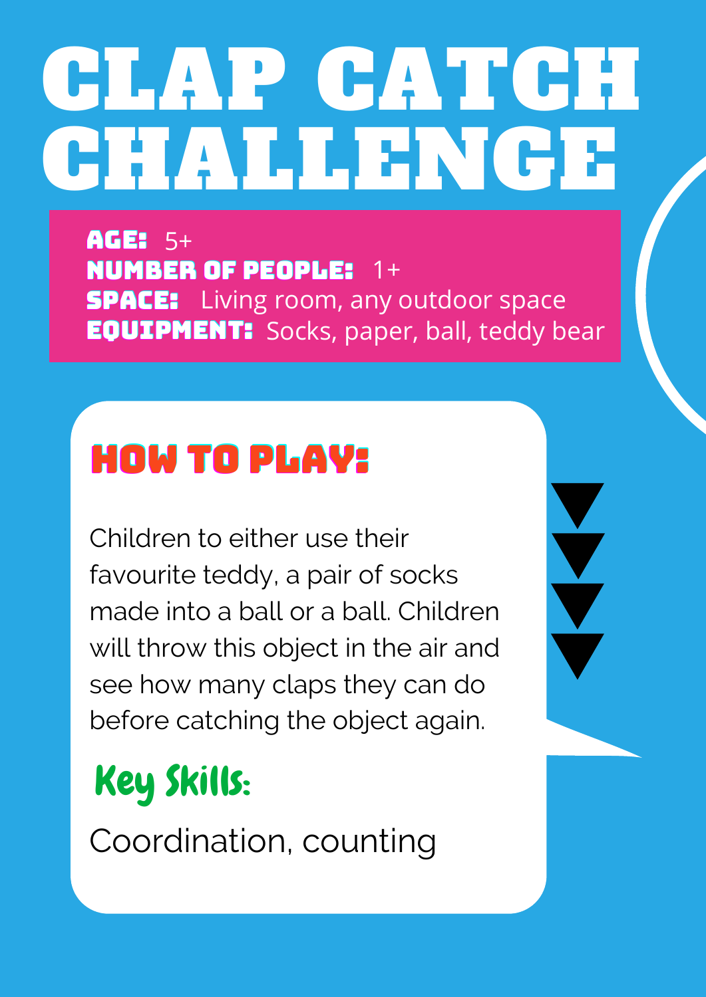# GLAP CATCH CHALLENGE

AGE: 5+ NUMBER OF PEOPLE: 1+ **SPACE:** Living room, any outdoor space **EQUIPMENT:** Socks, paper, ball, teddy bear

#### HOW TO PLAY:

Children to either use their favourite teddy, a pair of socks made into a ball or a ball. Children will throw this object in the air and see how many claps they can do before catching the object again.

# Key Skills:

Coordination, counting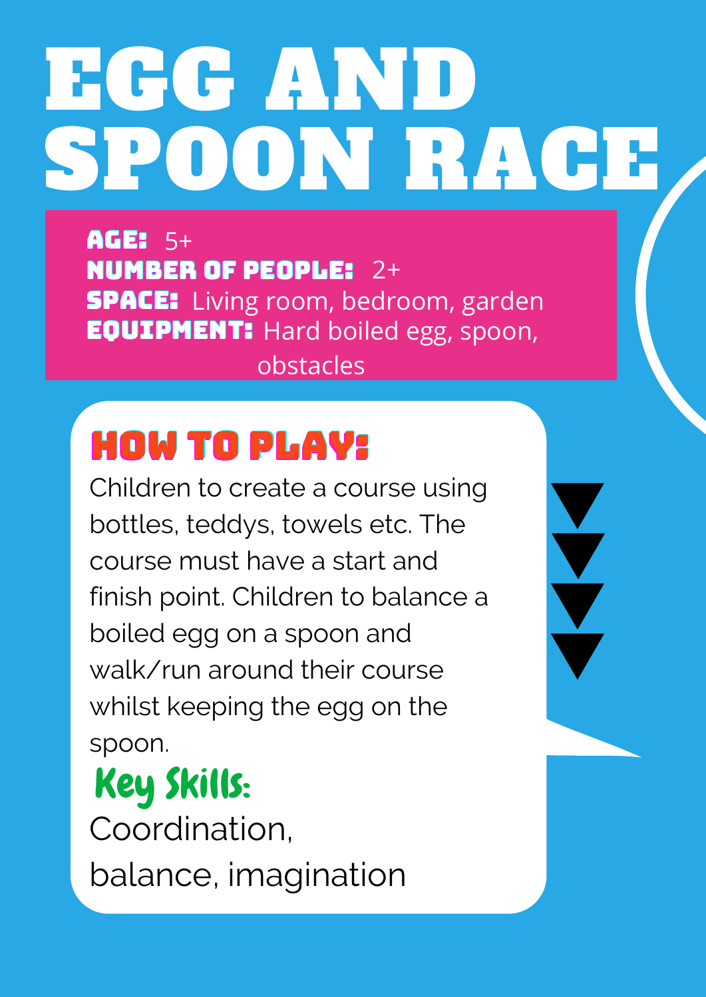# EGG AND SPOON RACE

AGE: 5+ NUMBER OF PEOPLE: 2+ **SPACE:** Living room, bedroom, garden **EQUIPMENT:** Hard boiled egg, spoon, obstacles

### HOW TO PLAY:

Children to create a course using bottles, teddys, towels etc. The course must have a start and finish point. Children to balance a boiled egg on a spoon and walk/run around their course whilst keeping the egg on the spoon.

#### Key Skills: Coordination, balance, imagination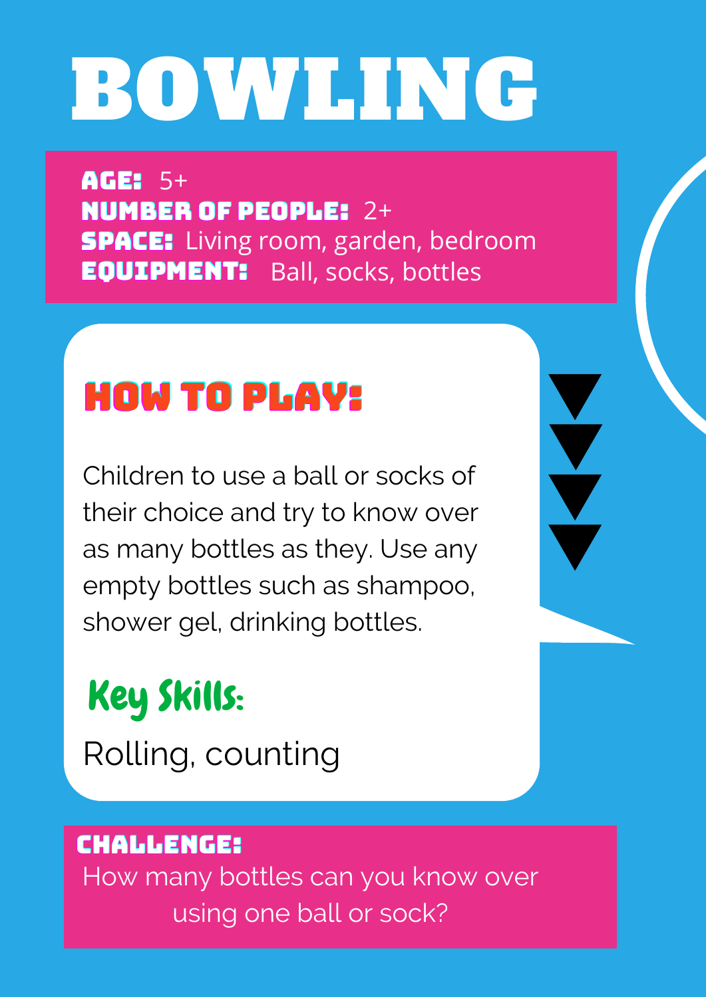# BOWLING

AGE: 5+ NUMBER OF PEOPLE: 2+ **SPACE:** Living room, garden, bedroom **EQUIPMENT:** Ball, socks, bottles

#### HOW TO PLAY:

Children to use a ball or socks of their choice and try to know over as many bottles as they. Use any empty bottles such as shampoo, shower gel, drinking bottles.

# Key Skills:

Rolling, counting

#### CHALLENGE:

How many bottles can you know over using one ball or sock?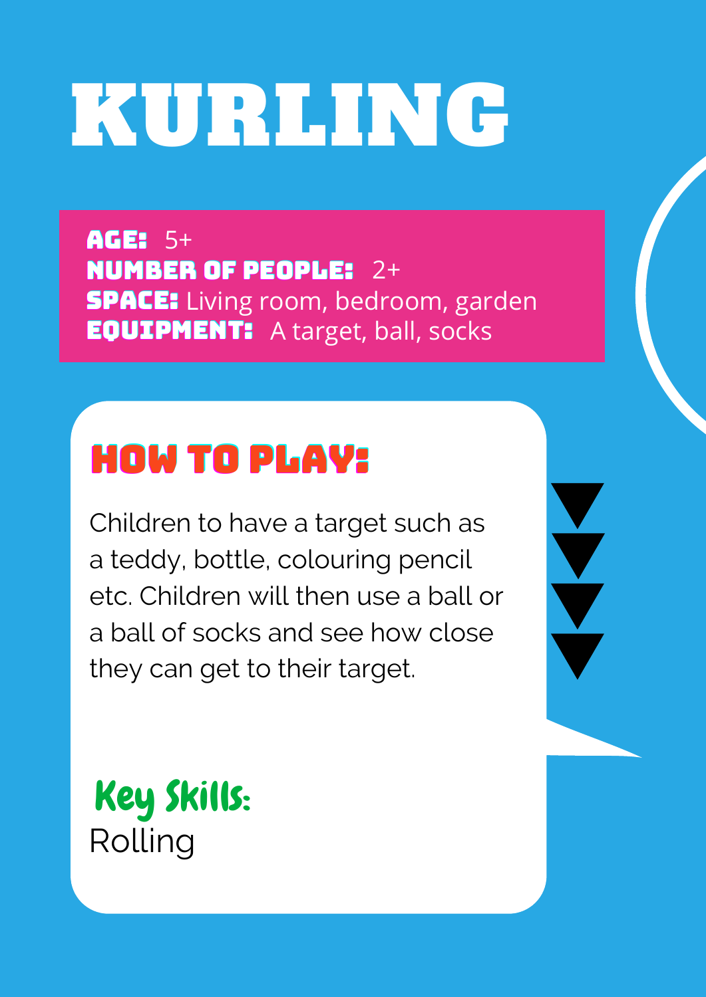# KURLING

AGE: 5+ NUMBER OF PEOPLE: 2+ **SPACE:** Living room, bedroom, garden **EQUIPMENT:** A target, ball, socks

#### HOW TO PLAY:

Children to have a target such as a teddy, bottle, colouring pencil etc. Children will then use a ball or a ball of socks and see how close they can get to their target.

Key Skills: Rolling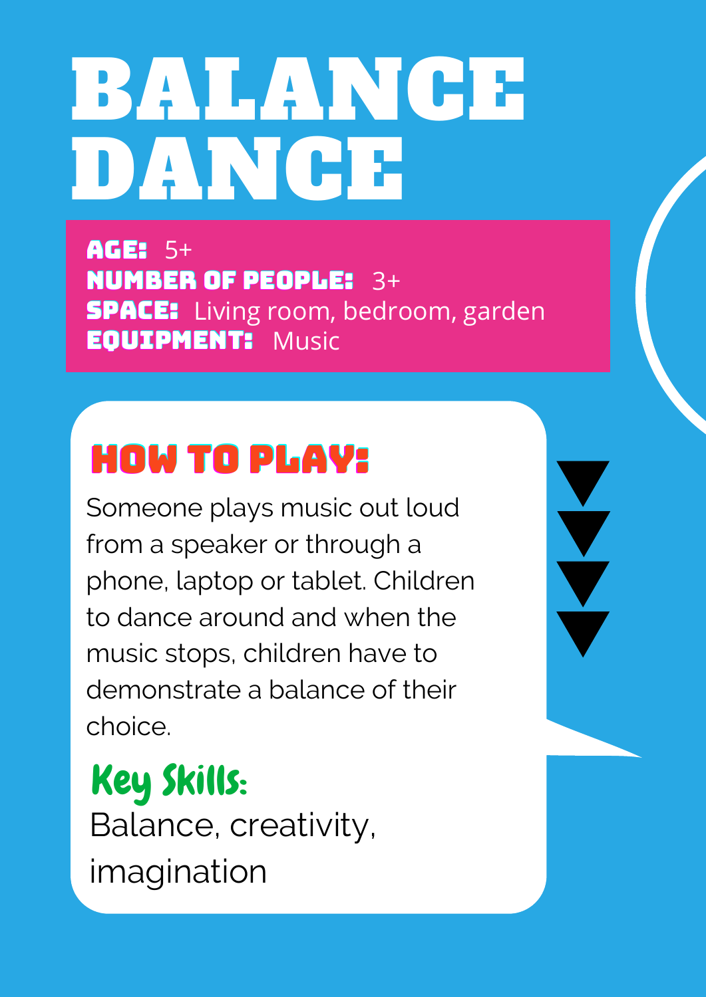# BALANCE DAN GE

AGE: 5+ NUMBER OF PEOPLE: 3+ **SPACE:** Living room, bedroom, garden EQUIPMENT: Music

# HOW TO PLAY:

Someone plays music out loud from a speaker or through a phone, laptop or tablet. Children to dance around and when the music stops, children have to demonstrate a balance of their choice.

Key Skills: Balance, creativity, imagination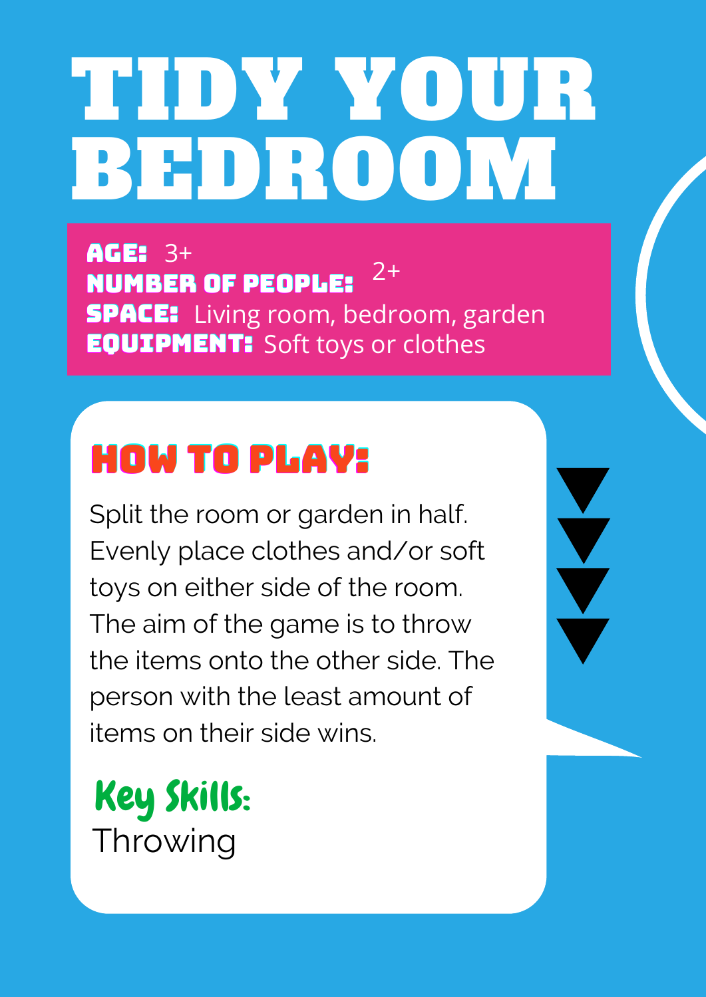# TIDY YOUR BEDROOM

**AGE: 3+** NUMBER OF PEOPLE: **SPACE:** Living room, bedroom, garden **EQUIPMENT:** Soft toys or clothes  $3^+$  ex deadl.e.  $2^+$ 

# HOW TO PLAY:

Split the room or garden in half. Evenly place clothes and/or soft toys on either side of the room. The aim of the game is to throw the items onto the other side. The person with the least amount of items on their side wins.

#### Key Skills: Throwing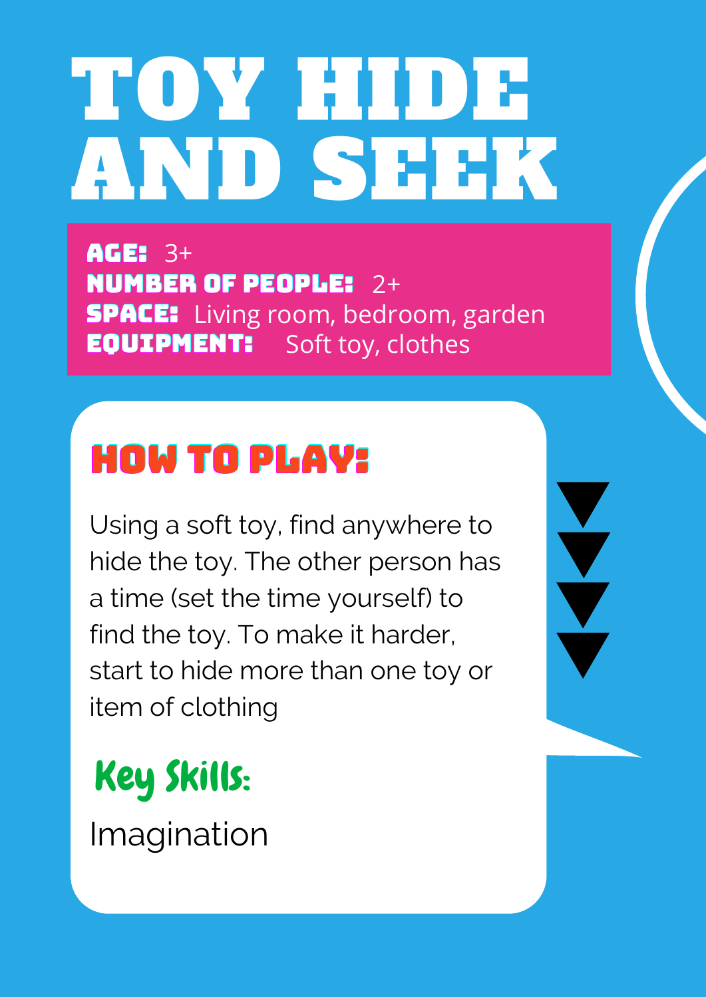# TOY HIDE AND SEEK

AGE: 3+ NUMBER OF PEOPLE: 2+ **SPACE:** Living room, bedroom, garden **EQUIPMENT:** Soft toy, clothes

### HOW TO PLAY:

Using a soft toy, find anywhere to hide the toy. The other person has a time (set the time yourself) to find the toy. To make it harder, start to hide more than one toy or item of clothing

Key Skills:

Imagination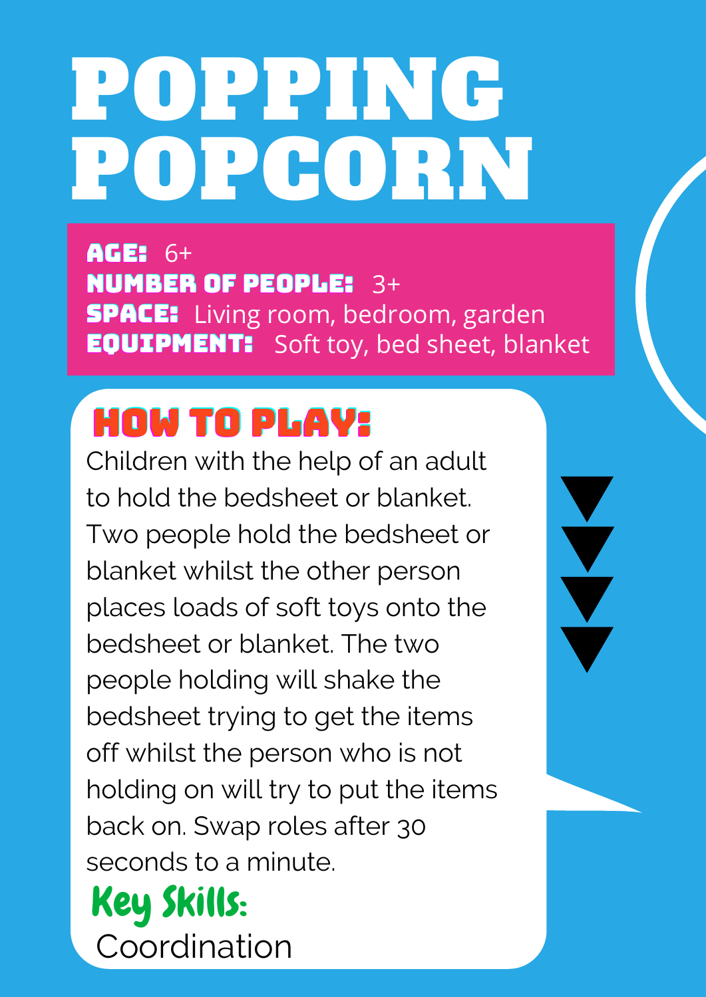# POPPING POPCORN

AGE: 6+ NUMBER OF PEOPLE: 3+ **SPACE:** Living room, bedroom, garden **EQUIPMENT:** Soft toy, bed sheet, blanket

#### HOW TO PLAY:

Children with the help of an adult to hold the bedsheet or blanket. Two people hold the bedsheet or blanket whilst the other person places loads of soft toys onto the bedsheet or blanket. The two people holding will shake the bedsheet trying to get the items off whilst the person who is not holding on will try to put the items back on. Swap roles after 30 seconds to a minute.

Key Skills: Coordination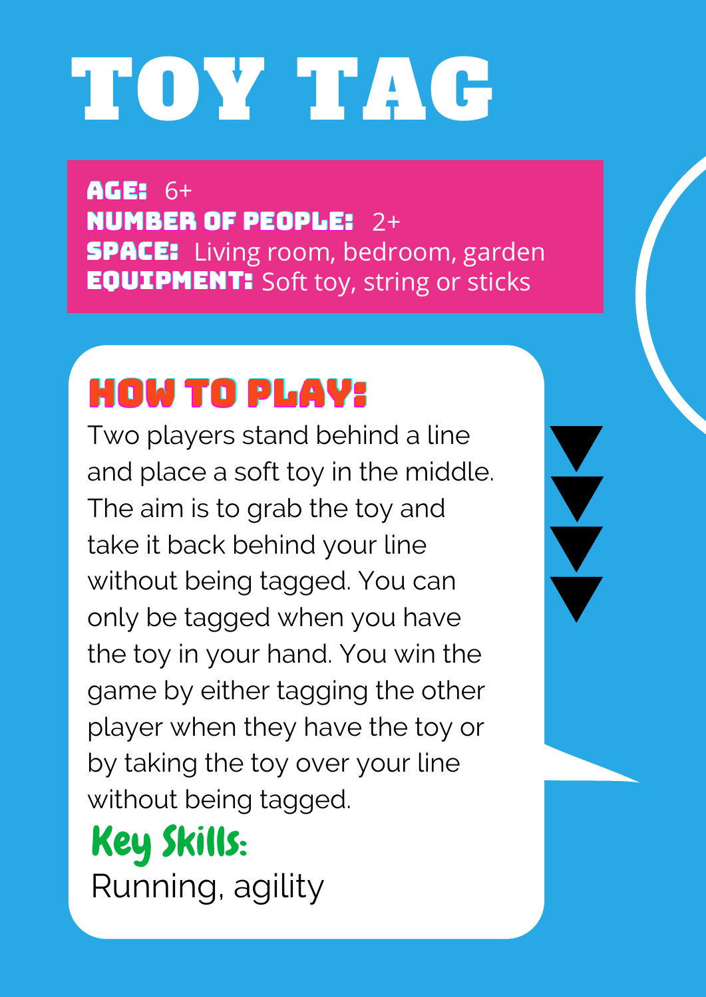# TOY TAG

AGE: 6+ NUMBER OF PEOPLE: 2+ **SPACE:** Living room, bedroom, garden **EQUIPMENT:** Soft toy, string or sticks

### HOW TO PLAY:

Two players stand behind a line and place a soft toy in the middle. The aim is to grab the toy and take it back behind your line without being tagged. You can only be tagged when you have the toy in your hand. You win the game by either tagging the other player when they have the toy or by taking the toy over your line without being tagged.

Key Skills: Running, agility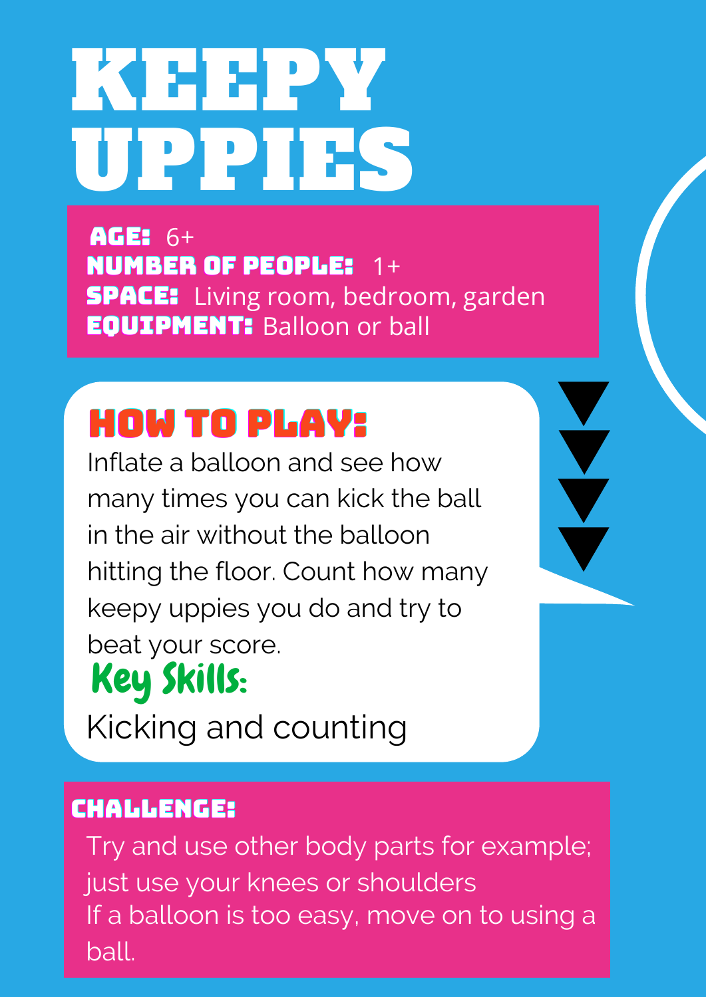# KEEPY UPPIES

AGE: 6+ NUMBER OF PEOPLE: 1+ **SPACE:** Living room, bedroom, garden **EQUIPMENT: Balloon or ball** 

#### HOW TO PLAY:

Inflate a balloon and see how many times you can kick the ball in the air without the balloon hitting the floor. Count how many keepy uppies you do and try to beat your score. Key Skills: Kicking and counting

#### CHALLENGE:

Try and use other body parts for example; just use your knees or shoulders If a balloon is too easy, move on to using a ball.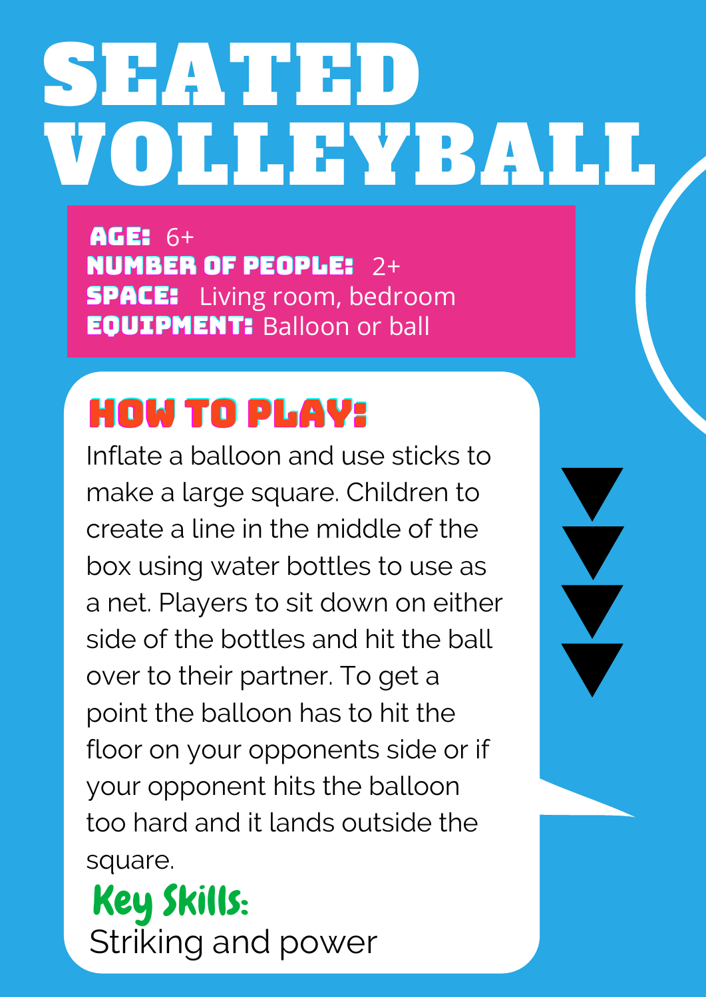# SEATED VOLLEYBALL

AGE: 6+ NUMBER OF PEOPLE: 2+ **SPACE:** Living room, bedroom **EQUIPMENT: Balloon or ball** 

# HOW TO PLAY:

Inflate a balloon and use sticks to make a large square. Children to create a line in the middle of the box using water bottles to use as a net. Players to sit down on either side of the bottles and hit the ball over to their partner. To get a point the balloon has to hit the floor on your opponents side or if your opponent hits the balloon too hard and it lands outside the square.

Key Skills: Striking and power